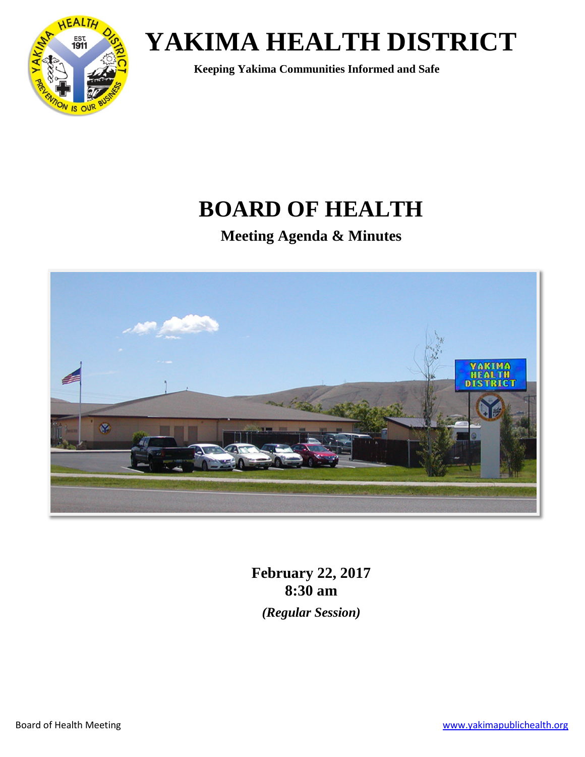

## **BOARD OF HEALTH**

**Meeting Agenda & Minutes**



**February 22, 2017 8:30 am** *(Regular Session)*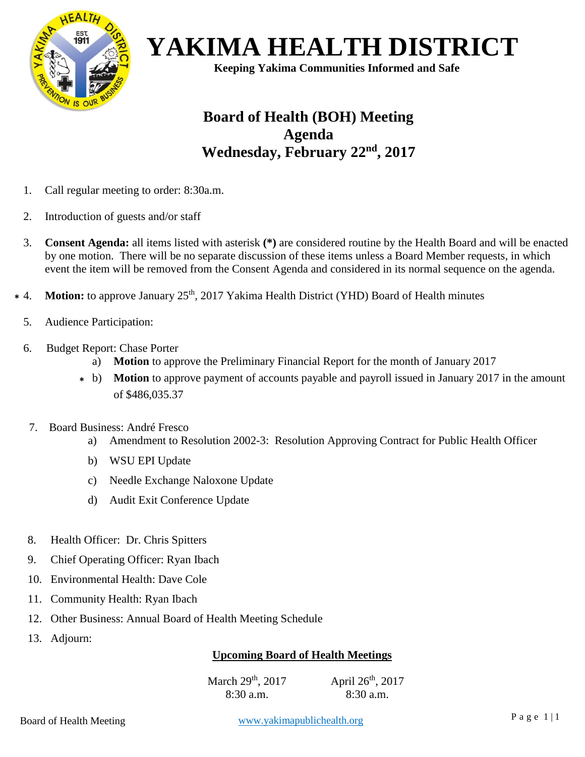

### **Board of Health (BOH) Meeting Agenda Wednesday, February 22nd, 2017**

- 1. Call regular meeting to order: 8:30a.m.
- 2. Introduction of guests and/or staff
- 3. **Consent Agenda:** all items listed with asterisk **(\*)** are considered routine by the Health Board and will be enacted by one motion. There will be no separate discussion of these items unless a Board Member requests, in which event the item will be removed from the Consent Agenda and considered in its normal sequence on the agenda.
- **Motion:** to approve January 25<sup>th</sup>, 2017 Yakima Health District (YHD) Board of Health minutes **\***
	- 5. Audience Participation:
	- 6. Budget Report: Chase Porter
		- a) **Motion** to approve the Preliminary Financial Report for the month of January 2017
		- b) **Motion** to approve payment of accounts payable and payroll issued in January 2017 in the amount **\***of \$486,035.37
		- 7. Board Business: André Fresco
			- a) Amendment to Resolution 2002-3: Resolution Approving Contract for Public Health Officer
			- b) WSU EPI Update
			- c) Needle Exchange Naloxone Update
			- d) Audit Exit Conference Update
		- 8. Health Officer: Dr. Chris Spitters
		- 9. Chief Operating Officer: Ryan Ibach
		- 10. Environmental Health: Dave Cole
		- 11. Community Health: Ryan Ibach
		- 12. Other Business: Annual Board of Health Meeting Schedule
		- 13. Adjourn:

### **Upcoming Board of Health Meetings**

 $U = U \cdot \text{C} \cdot \text{C} \cdot \text{C} \cdot \text{C} \cdot \text{C}$ March 29<sup>th</sup>, 2017 8:30 a.m. April 26th, 2017 8:30 a.m.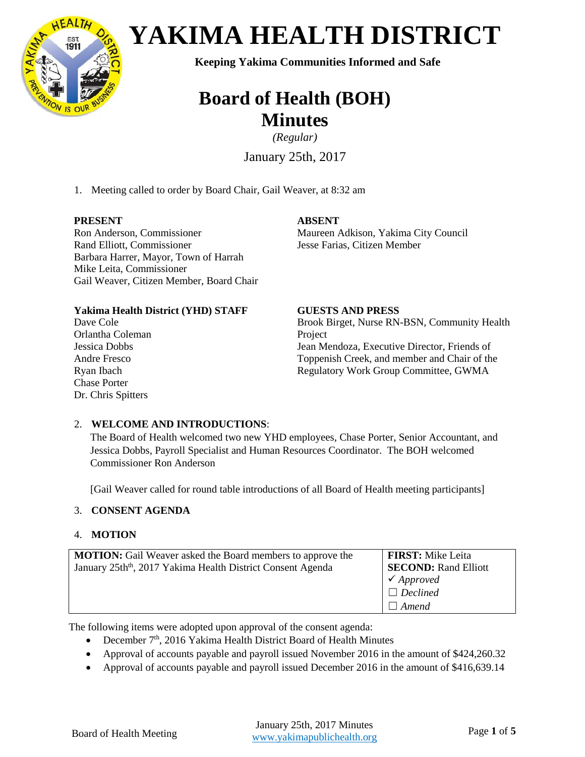

# *CLIP* $\frac{Q_{\text{est}}}{Q_{\text{est}}}$  **<b>YAKIMA HEALTH DISTRICT**

### **Board of Health (BOH) Minutes**

*(Regular)*

January 25th, 2017

1. Meeting called to order by Board Chair, Gail Weaver, at 8:32 am

#### **PRESENT**

Ron Anderson, Commissioner Rand Elliott, Commissioner Barbara Harrer, Mayor, Town of Harrah Mike Leita, Commissioner Gail Weaver, Citizen Member, Board Chair

#### **ABSENT**

Maureen Adkison, Yakima City Council Jesse Farias, Citizen Member

#### **Yakima Health District (YHD) STAFF**

Dave Cole Orlantha Coleman Jessica Dobbs Andre Fresco Ryan Ibach Chase Porter Dr. Chris Spitters

#### **GUESTS AND PRESS**

Brook Birget, Nurse RN-BSN, Community Health Project Jean Mendoza, Executive Director, Friends of Toppenish Creek, and member and Chair of the Regulatory Work Group Committee, GWMA

#### 2. **WELCOME AND INTRODUCTIONS**:

The Board of Health welcomed two new YHD employees, Chase Porter, Senior Accountant, and Jessica Dobbs, Payroll Specialist and Human Resources Coordinator. The BOH welcomed Commissioner Ron Anderson

[Gail Weaver called for round table introductions of all Board of Health meeting participants]

#### 3. **CONSENT AGENDA**

#### 4. **MOTION**

| <b>MOTION:</b> Gail Weaver asked the Board members to approve the<br>January 25th <sup>th</sup> , 2017 Yakima Health District Consent Agenda | <b>FIRST:</b> Mike Leita<br><b>SECOND: Rand Elliott</b><br>$\checkmark$ Approved |
|----------------------------------------------------------------------------------------------------------------------------------------------|----------------------------------------------------------------------------------|
|                                                                                                                                              | $\Box$ Declined<br>$\Box$ Amend                                                  |

The following items were adopted upon approval of the consent agenda:

- December  $7<sup>th</sup>$ , 2016 Yakima Health District Board of Health Minutes
- Approval of accounts payable and payroll issued November 2016 in the amount of \$424,260.32
- Approval of accounts payable and payroll issued December 2016 in the amount of \$416,639.14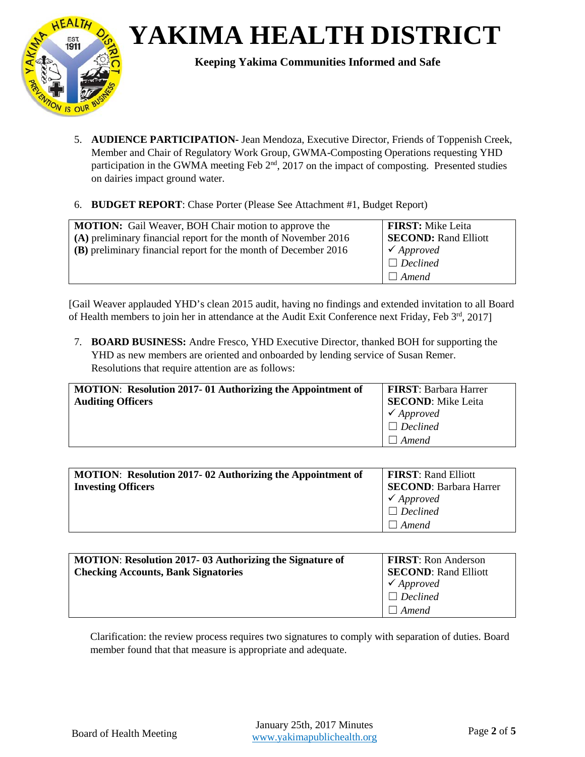*CLIP* $\frac{Q_{\text{est}}}{Q_{\text{est}}}$  **<b>YAKIMA HEALTH DISTRICT** 



- 5. **AUDIENCE PARTICIPATION-** Jean Mendoza, Executive Director, Friends of Toppenish Creek, Member and Chair of Regulatory Work Group, GWMA-Composting Operations requesting YHD participation in the GWMA meeting Feb 2<sup>nd</sup>, 2017 on the impact of composting. Presented studies on dairies impact ground water.
- 6. **BUDGET REPORT**: Chase Porter (Please See Attachment #1, Budget Report)

| <b>MOTION:</b> Gail Weaver, BOH Chair motion to approve the     | <b>FIRST:</b> Mike Leita    |
|-----------------------------------------------------------------|-----------------------------|
| (A) preliminary financial report for the month of November 2016 | <b>SECOND: Rand Elliott</b> |
| (B) preliminary financial report for the month of December 2016 | $\checkmark$ Approved       |
|                                                                 | $\Box$ Declined             |
|                                                                 | $\Box$ Amend                |

[Gail Weaver applauded YHD's clean 2015 audit, having no findings and extended invitation to all Board of Health members to join her in attendance at the Audit Exit Conference next Friday, Feb 3rd, 2017]

7. **BOARD BUSINESS:** Andre Fresco, YHD Executive Director, thanked BOH for supporting the YHD as new members are oriented and onboarded by lending service of Susan Remer. Resolutions that require attention are as follows:

| <b>MOTION:</b> Resolution 2017-01 Authorizing the Appointment of | <b>FIRST: Barbara Harrer</b> |
|------------------------------------------------------------------|------------------------------|
| <b>Auditing Officers</b>                                         | <b>SECOND:</b> Mike Leita    |
|                                                                  | $\checkmark$ Approved        |
|                                                                  | $\Box$ Declined              |
|                                                                  | Amend                        |

| <b>MOTION:</b> Resolution 2017-02 Authorizing the Appointment of | <b>FIRST:</b> Rand Elliott    |
|------------------------------------------------------------------|-------------------------------|
| <b>Investing Officers</b>                                        | <b>SECOND: Barbara Harrer</b> |
|                                                                  | $\checkmark$ Approved         |
|                                                                  | $\Box$ Declined               |
|                                                                  | Amend                         |

| <b>MOTION:</b> Resolution 2017-03 Authorizing the Signature of | <b>FIRST:</b> Ron Anderson<br><b>SECOND: Rand Elliott</b> |
|----------------------------------------------------------------|-----------------------------------------------------------|
| <b>Checking Accounts, Bank Signatories</b>                     | $\checkmark$ Approved                                     |
|                                                                | $\Box$ Declined                                           |
|                                                                | $\Box$ Amend                                              |

Clarification: the review process requires two signatures to comply with separation of duties. Board member found that that measure is appropriate and adequate.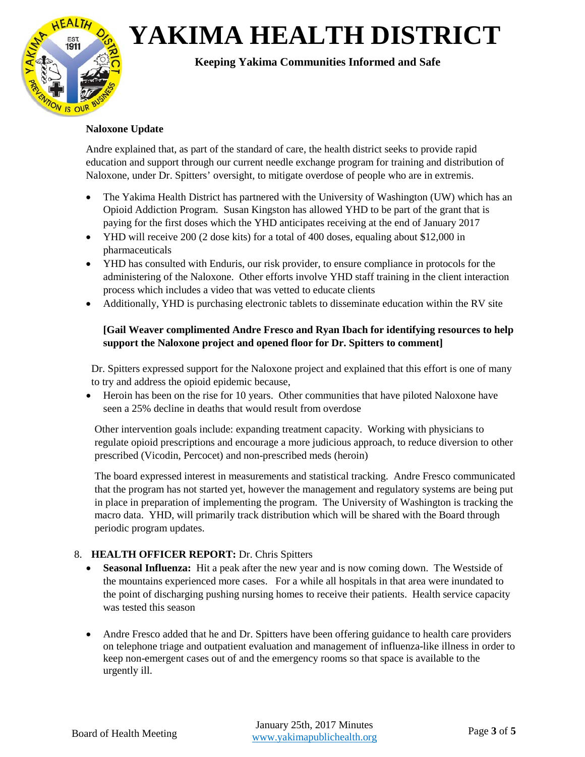

#### **Naloxone Update**

Andre explained that, as part of the standard of care, the health district seeks to provide rapid education and support through our current needle exchange program for training and distribution of Naloxone, under Dr. Spitters' oversight, to mitigate overdose of people who are in extremis.

- The Yakima Health District has partnered with the University of Washington (UW) which has an Opioid Addiction Program. Susan Kingston has allowed YHD to be part of the grant that is paying for the first doses which the YHD anticipates receiving at the end of January 2017
- YHD will receive 200 (2 dose kits) for a total of 400 doses, equaling about \$12,000 in pharmaceuticals
- YHD has consulted with Enduris, our risk provider, to ensure compliance in protocols for the administering of the Naloxone. Other efforts involve YHD staff training in the client interaction process which includes a video that was vetted to educate clients
- Additionally, YHD is purchasing electronic tablets to disseminate education within the RV site

#### **[Gail Weaver complimented Andre Fresco and Ryan Ibach for identifying resources to help support the Naloxone project and opened floor for Dr. Spitters to comment]**

Dr. Spitters expressed support for the Naloxone project and explained that this effort is one of many to try and address the opioid epidemic because,

• Heroin has been on the rise for 10 years. Other communities that have piloted Naloxone have seen a 25% decline in deaths that would result from overdose

Other intervention goals include: expanding treatment capacity. Working with physicians to regulate opioid prescriptions and encourage a more judicious approach, to reduce diversion to other prescribed (Vicodin, Percocet) and non-prescribed meds (heroin)

The board expressed interest in measurements and statistical tracking. Andre Fresco communicated that the program has not started yet, however the management and regulatory systems are being put in place in preparation of implementing the program. The University of Washington is tracking the macro data. YHD, will primarily track distribution which will be shared with the Board through periodic program updates.

#### 8. **HEALTH OFFICER REPORT:** Dr. Chris Spitters

- **Seasonal Influenza:** Hit a peak after the new year and is now coming down. The Westside of the mountains experienced more cases. For a while all hospitals in that area were inundated to the point of discharging pushing nursing homes to receive their patients. Health service capacity was tested this season
- Andre Fresco added that he and Dr. Spitters have been offering guidance to health care providers on telephone triage and outpatient evaluation and management of influenza-like illness in order to keep non-emergent cases out of and the emergency rooms so that space is available to the urgently ill.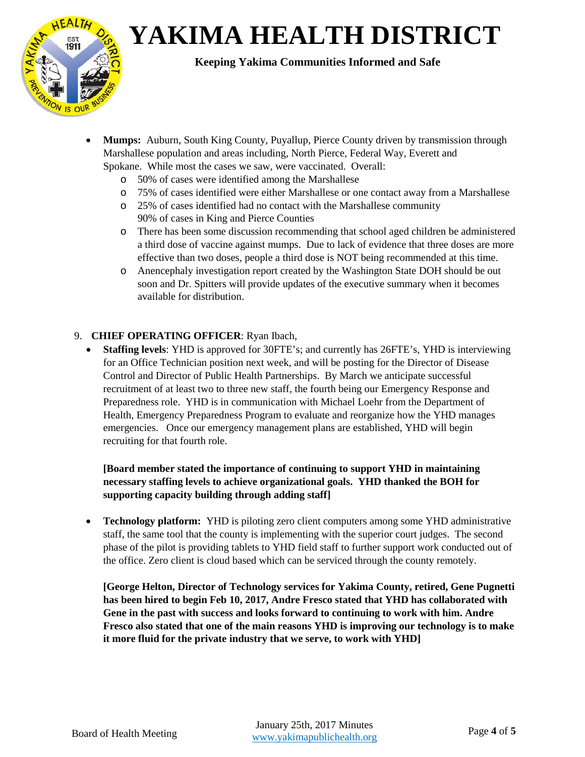

- **Mumps:** Auburn, South King County, Puyallup, Pierce County driven by transmission through Marshallese population and areas including, North Pierce, Federal Way, Everett and Spokane. While most the cases we saw, were vaccinated. Overall:
	- o 50% of cases were identified among the Marshallese
	- o 75% of cases identified were either Marshallese or one contact away from a Marshallese
	- o 25% of cases identified had no contact with the Marshallese community 90% of cases in King and Pierce Counties
	- o There has been some discussion recommending that school aged children be administered a third dose of vaccine against mumps. Due to lack of evidence that three doses are more effective than two doses, people a third dose is NOT being recommended at this time.
	- o Anencephaly investigation report created by the Washington State DOH should be out soon and Dr. Spitters will provide updates of the executive summary when it becomes available for distribution.

#### 9. **CHIEF OPERATING OFFICER**: Ryan Ibach,

• **Staffing levels**: YHD is approved for 30FTE's; and currently has 26FTE's, YHD is interviewing for an Office Technician position next week, and will be posting for the Director of Disease Control and Director of Public Health Partnerships. By March we anticipate successful recruitment of at least two to three new staff, the fourth being our Emergency Response and Preparedness role. YHD is in communication with Michael Loehr from the Department of Health, Emergency Preparedness Program to evaluate and reorganize how the YHD manages emergencies. Once our emergency management plans are established, YHD will begin recruiting for that fourth role.

#### **[Board member stated the importance of continuing to support YHD in maintaining necessary staffing levels to achieve organizational goals. YHD thanked the BOH for supporting capacity building through adding staff]**

• **Technology platform:** YHD is piloting zero client computers among some YHD administrative staff, the same tool that the county is implementing with the superior court judges. The second phase of the pilot is providing tablets to YHD field staff to further support work conducted out of the office. Zero client is cloud based which can be serviced through the county remotely.

**[George Helton, Director of Technology services for Yakima County, retired, Gene Pugnetti has been hired to begin Feb 10, 2017, Andre Fresco stated that YHD has collaborated with Gene in the past with success and looks forward to continuing to work with him. Andre Fresco also stated that one of the main reasons YHD is improving our technology is to make it more fluid for the private industry that we serve, to work with YHD]**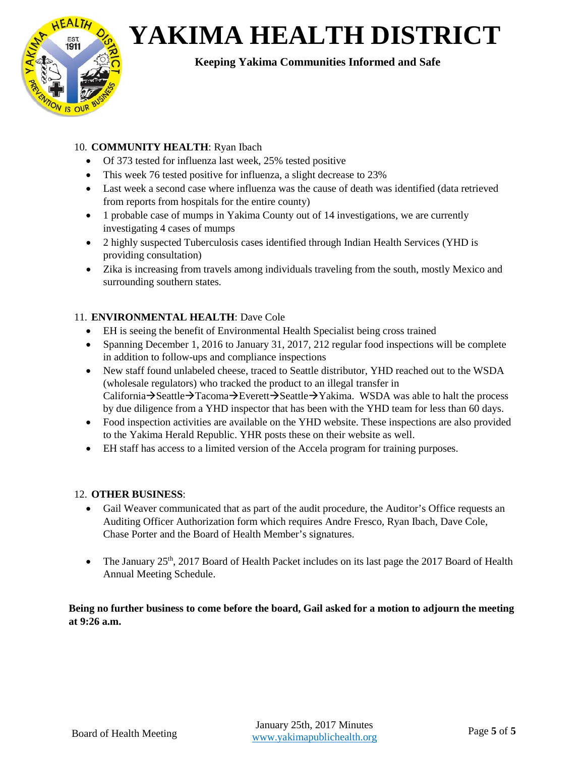

### 10. **COMMUNITY HEALTH**: Ryan Ibach

- Of 373 tested for influenza last week, 25% tested positive
- This week 76 tested positive for influenza, a slight decrease to 23%
- Last week a second case where influenza was the cause of death was identified (data retrieved from reports from hospitals for the entire county)
- 1 probable case of mumps in Yakima County out of 14 investigations, we are currently investigating 4 cases of mumps
- 2 highly suspected Tuberculosis cases identified through Indian Health Services (YHD is providing consultation)
- Zika is increasing from travels among individuals traveling from the south, mostly Mexico and surrounding southern states.

#### 11. **ENVIRONMENTAL HEALTH**: Dave Cole

- EH is seeing the benefit of Environmental Health Specialist being cross trained
- Spanning December 1, 2016 to January 31, 2017, 212 regular food inspections will be complete in addition to follow-ups and compliance inspections
- New staff found unlabeled cheese, traced to Seattle distributor, YHD reached out to the WSDA (wholesale regulators) who tracked the product to an illegal transfer in California $\rightarrow$ Seattle $\rightarrow$ Tacoma $\rightarrow$ Everett $\rightarrow$ Seattle $\rightarrow$ Yakima. WSDA was able to halt the process by due diligence from a YHD inspector that has been with the YHD team for less than 60 days.
- Food inspection activities are available on the YHD website. These inspections are also provided to the Yakima Herald Republic. YHR posts these on their website as well.
- EH staff has access to a limited version of the Accela program for training purposes.

#### 12. **OTHER BUSINESS**:

- Gail Weaver communicated that as part of the audit procedure, the Auditor's Office requests an Auditing Officer Authorization form which requires Andre Fresco, Ryan Ibach, Dave Cole, Chase Porter and the Board of Health Member's signatures.
- The January  $25<sup>th</sup>$ , 2017 Board of Health Packet includes on its last page the 2017 Board of Health Annual Meeting Schedule.

**Being no further business to come before the board, Gail asked for a motion to adjourn the meeting at 9:26 a.m.**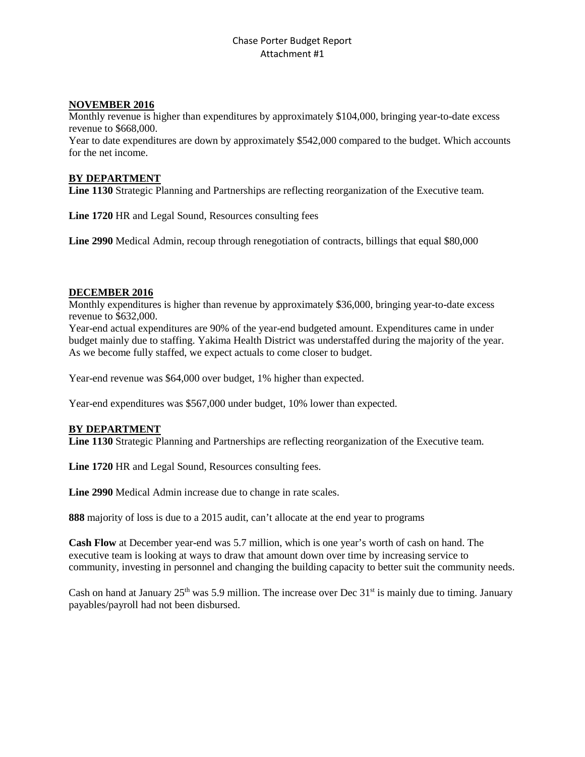#### Chase Porter Budget Report Attachment #1

#### **NOVEMBER 2016**

Monthly revenue is higher than expenditures by approximately \$104,000, bringing year-to-date excess revenue to \$668,000.

Year to date expenditures are down by approximately \$542,000 compared to the budget. Which accounts for the net income.

#### **BY DEPARTMENT**

**Line 1130** Strategic Planning and Partnerships are reflecting reorganization of the Executive team.

**Line 1720** HR and Legal Sound, Resources consulting fees

**Line 2990** Medical Admin, recoup through renegotiation of contracts, billings that equal \$80,000

#### **DECEMBER 2016**

Monthly expenditures is higher than revenue by approximately \$36,000, bringing year-to-date excess revenue to \$632,000.

Year-end actual expenditures are 90% of the year-end budgeted amount. Expenditures came in under budget mainly due to staffing. Yakima Health District was understaffed during the majority of the year. As we become fully staffed, we expect actuals to come closer to budget.

Year-end revenue was \$64,000 over budget, 1% higher than expected.

Year-end expenditures was \$567,000 under budget, 10% lower than expected.

#### **BY DEPARTMENT**

**Line 1130** Strategic Planning and Partnerships are reflecting reorganization of the Executive team.

**Line 1720** HR and Legal Sound, Resources consulting fees.

**Line 2990** Medical Admin increase due to change in rate scales.

**888** majority of loss is due to a 2015 audit, can't allocate at the end year to programs

**Cash Flow** at December year-end was 5.7 million, which is one year's worth of cash on hand. The executive team is looking at ways to draw that amount down over time by increasing service to community, investing in personnel and changing the building capacity to better suit the community needs.

Cash on hand at January  $25<sup>th</sup>$  was 5.9 million. The increase over Dec  $31<sup>st</sup>$  is mainly due to timing. January payables/payroll had not been disbursed.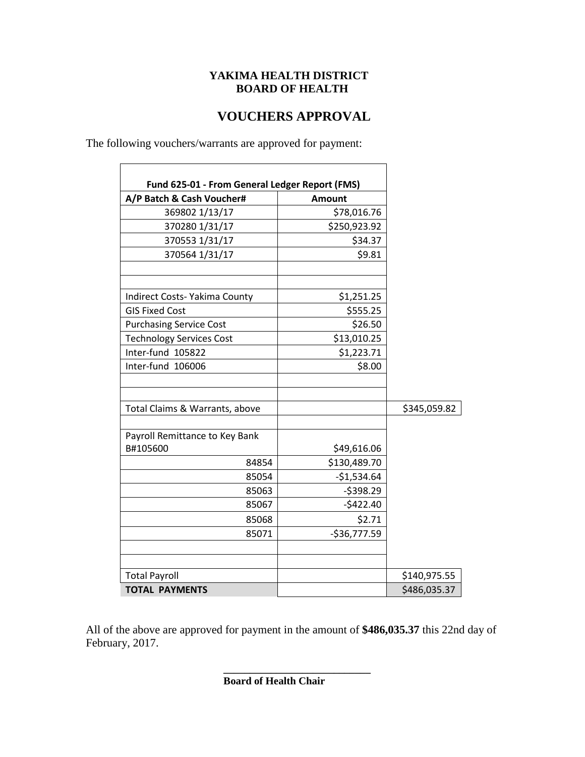#### **YAKIMA HEALTH DISTRICT BOARD OF HEALTH**

### **VOUCHERS APPROVAL**

 $\overline{\phantom{a}}$ 

The following vouchers/warrants are approved for payment:

 $\blacksquare$ 

| A/P Batch & Cash Voucher#       | <b>Amount</b> |              |
|---------------------------------|---------------|--------------|
| 369802 1/13/17                  | \$78,016.76   |              |
| 370280 1/31/17                  | \$250,923.92  |              |
| 370553 1/31/17                  | \$34.37       |              |
| 370564 1/31/17                  | \$9.81        |              |
| Indirect Costs-Yakima County    | \$1,251.25    |              |
| <b>GIS Fixed Cost</b>           | \$555.25      |              |
| <b>Purchasing Service Cost</b>  | \$26.50       |              |
| <b>Technology Services Cost</b> | \$13,010.25   |              |
| Inter-fund 105822               | \$1,223.71    |              |
| Inter-fund 106006               | \$8.00        |              |
| Total Claims & Warrants, above  |               | \$345,059.82 |
| Payroll Remittance to Key Bank  |               |              |
| B#105600                        | \$49,616.06   |              |
| 84854                           | \$130,489.70  |              |
| 85054                           | $-$1,534.64$  |              |
| 85063                           | $-5398.29$    |              |
| 85067                           | $-5422.40$    |              |
| 85068                           | \$2.71        |              |
| 85071                           | $-$36,777.59$ |              |
|                                 |               |              |
| <b>Total Payroll</b>            |               | \$140,975.55 |
| <b>TOTAL PAYMENTS</b>           |               | \$486,035.37 |

All of the above are approved for payment in the amount of **\$486,035.37** this 22nd day of February, 2017.

**\_\_\_\_\_\_\_\_\_\_\_\_\_\_\_\_\_\_\_\_\_\_\_\_\_\_\_\_**

**Board of Health Chair**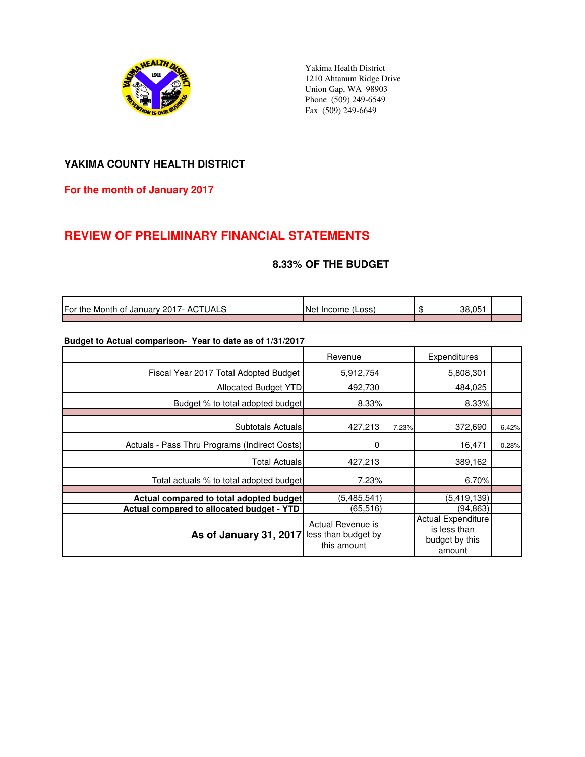

Yakima Health District 1210 Ahtanum Ridge Drive Union Gap, WA 98903 Phone (509) 249-6549 Fax (509) 249-6649

#### **YAKIMA COUNTY HEALTH DISTRICT**

#### **For the month of January 2017**

### **REVIEW OF PRELIMINARY FINANCIAL STATEMENTS**

#### **8.33% OF THE BUDGET**

| For the<br><b>UALS</b><br>AC<br>Month of January 2017- / | <b>INet</b><br>(Loss<br>Income |  | 38.051 |  |
|----------------------------------------------------------|--------------------------------|--|--------|--|
|                                                          |                                |  |        |  |

#### **Budget to Actual comparison- Year to date as of 1/31/2017**

|                                               | Revenue                                                 |       | <b>Expenditures</b>                                                   |       |
|-----------------------------------------------|---------------------------------------------------------|-------|-----------------------------------------------------------------------|-------|
| Fiscal Year 2017 Total Adopted Budget         | 5,912,754                                               |       | 5,808,301                                                             |       |
| <b>Allocated Budget YTD</b>                   | 492,730                                                 |       | 484,025                                                               |       |
| Budget % to total adopted budget              | 8.33%                                                   |       | 8.33%                                                                 |       |
|                                               |                                                         |       |                                                                       |       |
| Subtotals Actuals                             | 427,213                                                 | 7.23% | 372,690                                                               | 6.42% |
| Actuals - Pass Thru Programs (Indirect Costs) | 0                                                       |       | 16,471                                                                | 0.28% |
| <b>Total Actuals</b>                          | 427,213                                                 |       | 389,162                                                               |       |
| Total actuals % to total adopted budget       | 7.23%                                                   |       | 6.70%                                                                 |       |
| Actual compared to total adopted budget       | (5,485,541)                                             |       | (5, 419, 139)                                                         |       |
| Actual compared to allocated budget - YTD     | (65,516)                                                |       | (94,863)                                                              |       |
| As of January 31, 2017                        | Actual Revenue is<br>less than budget by<br>this amount |       | <b>Actual Expenditure</b><br>is less than<br>budget by this<br>amount |       |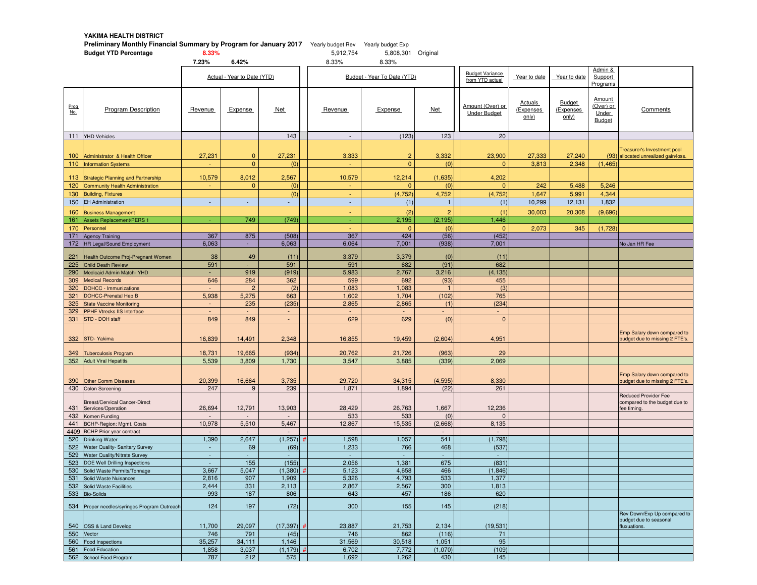**YAKIMA HEALTH DISTRICT**

|             | <b>Preliminary Monthly Financial Summary by Program for January 2017</b> Yearly budget Rev Yearly budget Exp<br><b>Budget YTD Percentage</b> | 8.33%              |                             |                 | 5,912,754                | 5,808,301 Original          |                                    |                                           |                              |                              |                                        |                                                                            |
|-------------|----------------------------------------------------------------------------------------------------------------------------------------------|--------------------|-----------------------------|-----------------|--------------------------|-----------------------------|------------------------------------|-------------------------------------------|------------------------------|------------------------------|----------------------------------------|----------------------------------------------------------------------------|
|             |                                                                                                                                              | 7.23%              | 6.42%                       |                 | 8.33%                    | 8.33%                       |                                    |                                           |                              |                              | Admin &                                |                                                                            |
|             |                                                                                                                                              |                    | Actual - Year to Date (YTD) |                 |                          | Budget - Year To Date (YTD) |                                    | <b>Budget Variance</b><br>from YTD actual | Year to date                 | Year to date                 | Support<br>Programs                    |                                                                            |
| Prog<br>No. | <b>Program Description</b>                                                                                                                   | Revenue            | Expense                     | <b>Net</b>      | Revenue                  | Expense                     | <b>Net</b>                         | Amount (Over) or<br><b>Under Budget</b>   | Actuals<br>Expenses<br>only) | Budget<br>(Expenses<br>only) | Amount<br>(Over) or<br>Under<br>Budget | Comments                                                                   |
|             | 111 YHD Vehicles                                                                                                                             |                    |                             | 143             | $\overline{\phantom{a}}$ | (123)                       | 123                                | 20                                        |                              |                              |                                        |                                                                            |
|             |                                                                                                                                              |                    |                             |                 |                          |                             |                                    |                                           |                              |                              |                                        | Treasurer's Investment pool                                                |
| 100         | Administrator & Health Officer                                                                                                               | 27,231             | $\mathbf{0}$                | 27,231          | 3,333                    | $\overline{c}$              | 3,332                              | 23,900                                    | 27,333                       | 27,240                       |                                        | (93) allocated unrealized gain/loss.                                       |
| 110         | <b>Information Systems</b>                                                                                                                   |                    | $\mathbf{0}$                | (0)             |                          | $\overline{0}$              | (0)                                | $\Omega$                                  | 3,813                        | 2,348                        | (1, 465)                               |                                                                            |
| 113         | <b>Strategic Planning and Partnership</b>                                                                                                    | 10,579             | 8,012                       | 2,567           | 10,579                   | 12,214                      | (1,635)                            | 4,202                                     |                              |                              |                                        |                                                                            |
| 120         | <b>Community Health Administration</b>                                                                                                       |                    | $\mathbf{0}$                | (0)             |                          | $\Omega$                    | (0)                                | $\Omega$                                  | 242                          | 5,488                        | 5,246                                  |                                                                            |
| 130         | <b>Building, Fixtures</b>                                                                                                                    |                    |                             | (0)             | $\blacksquare$           | (4, 752)                    | 4,752                              | (4, 752)                                  | 1,647                        | 5,991                        | 4,344                                  |                                                                            |
|             | 150 EH Administration                                                                                                                        | $\mathcal{L}$      | L,                          |                 | $\mathbb{Z}^+$           | (1)                         | $\mathbf{1}$                       | (1)                                       | 10,299                       | 12,131                       | 1,832                                  |                                                                            |
| 160         | <b>Business Management</b>                                                                                                                   |                    |                             |                 |                          | (2)                         | $\overline{2}$                     | (1)                                       | 30,003                       | 20,308                       | (9,696)                                |                                                                            |
| 161         | Assets Replacement/PERS 1                                                                                                                    | $\omega$           | 749                         | (749)           | ÷.                       | 2,195                       | (2, 195)                           | 1,446                                     |                              |                              |                                        |                                                                            |
| 170         | Personnel                                                                                                                                    |                    |                             |                 |                          | $\overline{0}$              | (0)                                | $\overline{0}$                            | 2,073                        | 345                          | (1,728)                                |                                                                            |
|             | 171 Agency Training                                                                                                                          | 367                | 875                         | (508)           | 367                      | 424                         | (56)                               | (452)                                     |                              |                              |                                        |                                                                            |
|             | 172 HR Legal/Sound Employment                                                                                                                | 6,063              | ÷.                          | 6,063           | 6,064                    | 7,001                       | (938)                              | 7,001                                     |                              |                              |                                        | No Jan HR Fee                                                              |
| 221         | Health Outcome Proj-Pregnant Women                                                                                                           | 38                 | 49                          | (11)            | 3,379                    | 3,379                       | (0)                                | (11)                                      |                              |                              |                                        |                                                                            |
| 225         | <b>Child Death Review</b>                                                                                                                    | 591                |                             | 591             | 591                      | 682                         | (91)                               | 682                                       |                              |                              |                                        |                                                                            |
| 290         | Medicaid Admin Match-YHD                                                                                                                     | $\sim$             | 919                         | (919)           | 5,983                    | 2,767                       | 3,216                              | (4, 135)                                  |                              |                              |                                        |                                                                            |
| 309         | <b>Medical Records</b>                                                                                                                       | 646                | 284                         | 362             | 599                      | 692                         | (93)                               | 455                                       |                              |                              |                                        |                                                                            |
| 320         | <b>DOHCC - Immunizations</b>                                                                                                                 |                    | $\overline{2}$              | (2)             | 1,083                    | 1,083                       |                                    | (3)                                       |                              |                              |                                        |                                                                            |
| 321         | <b>DOHCC-Prenatal Hep B</b>                                                                                                                  | 5,938              | 5,275                       | 663             | 1,602                    | 1,704                       | (102)                              | 765                                       |                              |                              |                                        |                                                                            |
| 325         | <b>State Vaccine Monitoring</b><br>329 PPHF Vtrecks IIS Interface                                                                            | $\sim$             | 235                         | (235)           | 2,865                    | 2,865                       | (1)                                | (234)                                     |                              |                              |                                        |                                                                            |
| 331         | STD - DOH staff                                                                                                                              | 849                | 849                         | ÷.              | 629                      | 629                         | (0)                                | $\mathbf{0}$                              |                              |                              |                                        |                                                                            |
| 332         | STD-Yakima                                                                                                                                   | 16,839             | 14,491                      | 2,348           | 16,855                   | 19,459                      | (2,604)                            | 4,951                                     |                              |                              |                                        | Emp Salary down compared to<br>budget due to missing 2 FTE's.              |
| 349         | <b>Tuberculosis Program</b>                                                                                                                  | 18,731             | 19,665                      | (934)           | 20,762                   | 21,726                      | (963)                              | 29                                        |                              |                              |                                        |                                                                            |
|             | 352 Adult Viral Hepatitis                                                                                                                    | 5,539              | 3,809                       | 1,730           | 3,547                    | 3,885                       | (339)                              | 2,069                                     |                              |                              |                                        |                                                                            |
| 390         | <b>Other Comm Diseases</b>                                                                                                                   | 20,399             | 16,664                      | 3,735           | 29,720                   | 34,315                      | (4, 595)                           | 8,330                                     |                              |                              |                                        | Emp Salary down compared to<br>budget due to missing 2 FTE's.              |
|             | 430 Colon Screening                                                                                                                          | 247                | 9                           | 239             | 1,871                    | 1,894                       | (22)                               | 261                                       |                              |                              |                                        |                                                                            |
| 431<br>432  | Breast/Cervical Cancer-Direct<br>Services/Operation<br>Komen Funding                                                                         | 26,694             | 12,791                      | 13,903          | 28,429<br>533            | 26,763<br>533               | 1,667<br>(0)                       | 12,236<br>$\mathbf{0}$                    |                              |                              |                                        | <b>Reduced Provider Fee</b><br>compared to the budget due to<br>ee timing. |
| 441         | BCHP-Region: Mgmt. Costs                                                                                                                     | 10,978             | 5,510                       | 5,467           | 12,867                   | 15,535                      | (2,668)                            | 8,135                                     |                              |                              |                                        |                                                                            |
|             | 4409 BCHP Prior year contract                                                                                                                |                    |                             |                 |                          |                             |                                    |                                           |                              |                              |                                        |                                                                            |
| 520         | <b>Drinking Water</b>                                                                                                                        | 1,390              | 2,647                       | (1, 257)        | 1,598                    | 1,057                       | 541                                | (1,798)                                   |                              |                              |                                        |                                                                            |
| 522         | Water Quality- Sanitary Survey                                                                                                               | $\sim$             | 69                          | (69)            | 1,233                    | 766                         | 468                                | (537)                                     |                              |                              |                                        |                                                                            |
|             | 529 Water Quality/Nitrate Survey                                                                                                             | $\sim$<br>$\omega$ | ÷.                          | $\sim$<br>(155) | $\sim$                   | $\sim$                      | $\mathcal{L}_{\mathcal{A}}$<br>675 | $\overline{\phantom{a}}$                  |                              |                              |                                        |                                                                            |
| 523         | DOE Well Drilling Inspections<br>530 Solid Waste Permits/Tonnage                                                                             | 3,667              | 155<br>5,047                | (1,380)         | 2,056<br>5,123           | 1,381<br>4,658              | 466                                | (831)<br>(1,846)                          |                              |                              |                                        |                                                                            |
|             | 531 Solid Waste Nuisances                                                                                                                    | 2,816              | 907                         | 1,909           | 5,326                    | 4,793                       | 533                                | 1,377                                     |                              |                              |                                        |                                                                            |
|             | 532 Solid Waste Facilities                                                                                                                   | 2,444              | 331                         | 2,113           | 2,867                    | 2,567                       | 300                                | 1,813                                     |                              |                              |                                        |                                                                            |
|             | 533 Bio-Solids                                                                                                                               | 993                | 187                         | 806             | 643                      | 457                         | 186                                | 620                                       |                              |                              |                                        |                                                                            |
|             | 534 Proper needles/syringes Program Outreach                                                                                                 | 124                | 197                         | (72)            | 300                      | 155                         | 145                                | (218)                                     |                              |                              |                                        | Rev Down/Exp Up compared to                                                |
|             | 540 OSS & Land Develop                                                                                                                       | 11,700             | 29,097                      | (17, 397)       | 23,887                   | 21,753                      | 2,134                              | (19, 531)                                 |                              |                              |                                        | budget due to seasonal<br>fluxuations.                                     |
|             | 550 Vector                                                                                                                                   | 746                | 791                         | (45)            | 746                      | 862                         | (116)                              | 71                                        |                              |                              |                                        |                                                                            |
|             | 560 Food Inspections                                                                                                                         | 35,257             | 34,111                      | 1,146           | 31,569                   | 30,518                      | 1,051                              | 95                                        |                              |                              |                                        |                                                                            |
|             | 561 Food Education                                                                                                                           | 1,858              | 3,037                       | (1, 179)        | 6,702                    | 7,772                       | (1,070)                            | (109)                                     |                              |                              |                                        |                                                                            |
|             | 562 School Food Program                                                                                                                      | 787                | 212                         | 575             | 1,692                    | 1,262                       | 430                                | 145                                       |                              |                              |                                        |                                                                            |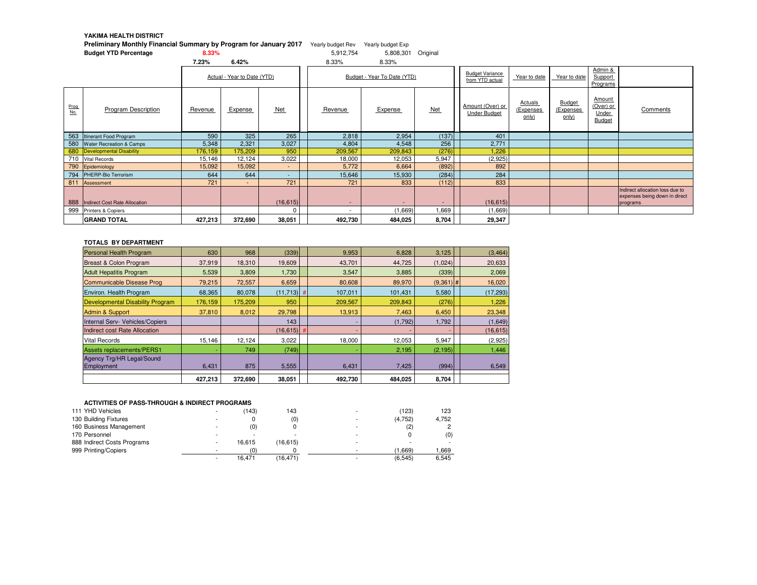#### **YAKIMA HEALTH DISTRICT**

#### **Preliminary Monthly Financial Summary by Program for January 2017** Yearly budget Rev Yearly budget Exp

**Budget YTD Percentage8.33%** 5,912,754 5,808,301 Original

|                  |                                                         | 7.23%                       | 6.42%   |                       | 8.33%                    | 8.33%                               |            |                                           |                               |                              |                                        |                                                                              |
|------------------|---------------------------------------------------------|-----------------------------|---------|-----------------------|--------------------------|-------------------------------------|------------|-------------------------------------------|-------------------------------|------------------------------|----------------------------------------|------------------------------------------------------------------------------|
|                  |                                                         | Actual - Year to Date (YTD) |         |                       |                          | Budget - Year To Date (YTD)         |            | <b>Budget Variance</b><br>from YTD actual | Year to date                  | Year to date                 | Admin &<br>Support<br>Programs         |                                                                              |
| $rac{Prog}{No.}$ | <b>Program Description</b>                              | Revenue                     | Expense | Net                   | Revenue                  | Expense                             | Net        | Amount (Over) or<br>Under Budget          | Actuals<br>(Expenses<br>only) | Budget<br>(Expenses<br>only) | Amount<br>(Over) or<br>Under<br>Budget | Comments                                                                     |
|                  | 563 Itinerant Food Program                              | 590                         | 325     | 265                   | 2,818                    | 2,954                               | (137)      | 401                                       |                               |                              |                                        |                                                                              |
|                  | 580 Water Recreation & Camps                            | 5,348                       | 2,321   | 3,027                 | 4,804                    | 4,548                               | 256        | 2,771                                     |                               |                              |                                        |                                                                              |
| 680              | Developmental Disability                                | 176,159                     | 175,209 | 950                   | 209,567                  | 209,843                             | (276)      | 1,226                                     |                               |                              |                                        |                                                                              |
|                  | 710 Vital Records                                       | 15,146                      | 12,124  | 3,022                 | 18,000                   | 12,053                              | 5,947      | (2,925)                                   |                               |                              |                                        |                                                                              |
|                  | 790 Epidemiology                                        | 15,092                      | 15,092  | $\sim$                | 5,772                    | 6,664                               | (892)      | 892                                       |                               |                              |                                        |                                                                              |
| 794              | PHERP-Bio Terrorism                                     | 644                         | 644     | $\sim$                | 15,646                   | 15,930                              | (284)      | 284                                       |                               |                              |                                        |                                                                              |
| 811              | Assessment                                              | 721                         | $\sim$  | 721                   | 721                      | 833                                 | (112)      | 833                                       |                               |                              |                                        |                                                                              |
| 888              | Indirect Cost Rate Allocation<br>999 Printers & Copiers |                             |         | (16, 615)<br>$\Omega$ | $\overline{\phantom{a}}$ | $\overline{\phantom{a}}$<br>(1,669) | -<br>1,669 | (16, 615)<br>(1,669)                      |                               |                              |                                        | Indirect allocation loss due to<br>expenses being down in direct<br>programs |
|                  | <b>GRAND TOTAL</b>                                      | 427,213                     | 372,690 | 38,051                | 492,730                  | 484,025                             | 8,704      | 29,347                                    |                               |                              |                                        |                                                                              |

#### **TOTALS BY DEPARTMENT**

| <b>Personal Health Program</b>   | 630     | 968     | (339)         | 9,953                    | 6,828   | 3,125       | (3, 464)  |
|----------------------------------|---------|---------|---------------|--------------------------|---------|-------------|-----------|
| Breast & Colon Program           | 37,919  | 18,310  | 19,609        | 43,701                   | 44,725  | (1,024)     | 20,633    |
| <b>Adult Hepatitis Program</b>   | 5,539   | 3,809   | 1.730         | 3.547                    | 3,885   | (339)       | 2,069     |
| Communicable Disease Prog        | 79.215  | 72,557  | 6,659         | 80.608                   | 89,970  | $(9,361)$ # | 16,020    |
| Environ. Health Program          | 68,365  | 80,078  | $(11,713)$ #  | 107,011                  | 101,431 | 5,580       | (17, 293) |
| Developmental Disability Program | 176,159 | 175,209 | 950           | 209,567                  | 209,843 | (276)       | 1,226     |
| Admin & Support                  | 37,810  | 8,012   | 29,798        | 13,913                   | 7,463   | 6,450       | 23,348    |
| Internal Serv- Vehicles/Copiers  |         |         | 143           | ÷                        | (1,792) | 1,792       | (1,649)   |
| Indirect cost Rate Allocation    |         |         | $(16, 615)$ # | $\overline{\phantom{a}}$ |         |             | (16, 615) |
| <b>Vital Records</b>             | 15.146  | 12,124  | 3,022         | 18,000                   | 12,053  | 5,947       | (2,925)   |
| <b>Assets replacements/PERS1</b> |         | 749     | (749)         |                          | 2,195   | (2, 195)    | 1,446     |
| Agency Trg/HR Legal/Sound        |         |         |               |                          |         |             |           |
| Employment                       | 6.431   | 875     | 5,555         | 6,431                    | 7.425   | (994)       | 6,549     |
|                                  | 427,213 | 372,690 | 38,051        | 492,730                  | 484.025 | 8,704       |           |

#### **ACTIVITIES OF PASS-THROUGH & INDIRECT PROGRAMS**

| 111 YHD Vehicles            | $\overline{\phantom{a}}$ | (143)  | 143      | $\overline{\phantom{0}}$ | (123)    | 123    |
|-----------------------------|--------------------------|--------|----------|--------------------------|----------|--------|
| 130 Building Fixtures       |                          |        | (0)      | $\sim$                   | (4, 752) | 4.752  |
| 160 Business Management     |                          | (0)    |          |                          | (2)      |        |
| 170 Personnel               | -                        |        |          | $\overline{\phantom{0}}$ |          | (0)    |
| 888 Indirect Costs Programs | $\overline{\phantom{a}}$ | 16.615 | (16.615) | $\overline{\phantom{a}}$ |          |        |
| 999 Printing/Copiers        | $\overline{\phantom{a}}$ | (0)    |          | $\overline{\phantom{0}}$ | (1.669)  | 669. ا |
|                             | $\overline{\phantom{a}}$ | 16.471 | (16.471) |                          | (6, 545) | 6,545  |